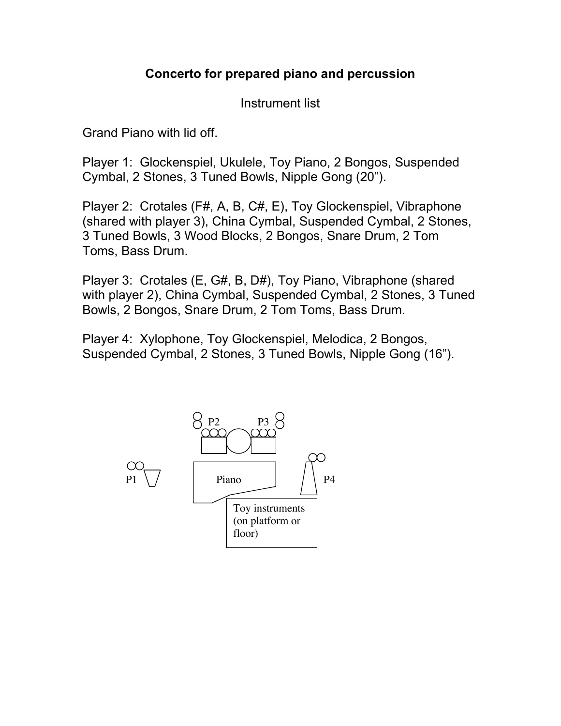## **Concerto for prepared piano and percussion**

Instrument list

Grand Piano with lid off.

Player 1: Glockenspiel, Ukulele, Toy Piano, 2 Bongos, Suspended Cymbal, 2 Stones, 3 Tuned Bowls, Nipple Gong (20").

Player 2: Crotales (F#, A, B, C#, E), Toy Glockenspiel, Vibraphone (shared with player 3), China Cymbal, Suspended Cymbal, 2 Stones, 3 Tuned Bowls, 3 Wood Blocks, 2 Bongos, Snare Drum, 2 Tom Toms, Bass Drum.

Player 3: Crotales (E, G#, B, D#), Toy Piano, Vibraphone (shared with player 2), China Cymbal, Suspended Cymbal, 2 Stones, 3 Tuned Bowls, 2 Bongos, Snare Drum, 2 Tom Toms, Bass Drum.

Player 4: Xylophone, Toy Glockenspiel, Melodica, 2 Bongos, Suspended Cymbal, 2 Stones, 3 Tuned Bowls, Nipple Gong (16").

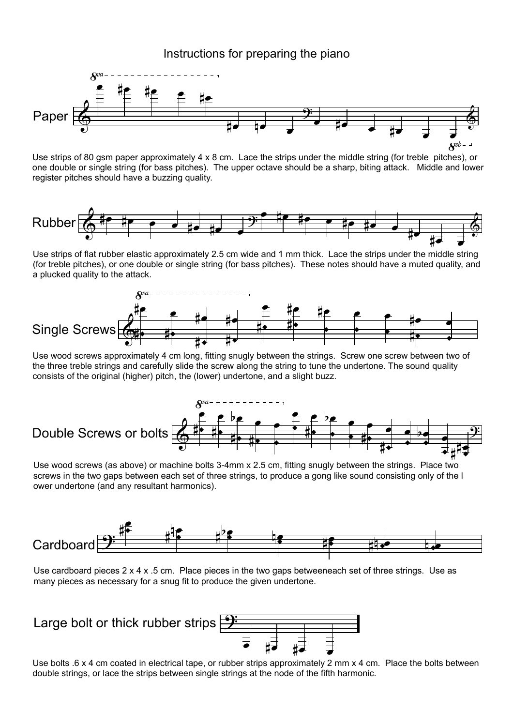## Instructions for preparing the piano



Use strips of 80 gsm paper approximately 4 x 8 cm. Lace the strips under the middle string (for treble pitches), or one double or single string (for bass pitches). The upper octave should be a sharp, biting attack. Middle and lower register pitches should have a buzzing quality.



Use strips of flat rubber elastic approximately 2.5 cm wide and 1 mm thick. Lace the strips under the middle string (for treble pitches), or one double or single string (for bass pitches). These notes should have a muted quality, and a plucked quality to the attack.



Use wood screws approximately 4 cm long, fitting snugly between the strings. Screw one screw between two of the three treble strings and carefully slide the screw along the string to tune the undertone. The sound quality consists of the original (higher) pitch, the (lower) undertone, and a slight buzz.



Use wood screws (as above) or machine bolts 3-4mm x 2.5 cm, fitting snugly between the strings. Place two screws in the two gaps between each set of three strings, to produce a gong like sound consisting only of the l ower undertone (and any resultant harmonics).



Use cardboard pieces 2 x 4 x .5 cm. Place pieces in the two gaps betweeneach set of three strings. Use as many pieces as necessary for a snug fit to produce the given undertone.



Use bolts .6 x 4 cm coated in electrical tape, or rubber strips approximately 2 mm x 4 cm. Place the bolts between double strings, or lace the strips between single strings at the node of the fifth harmonic.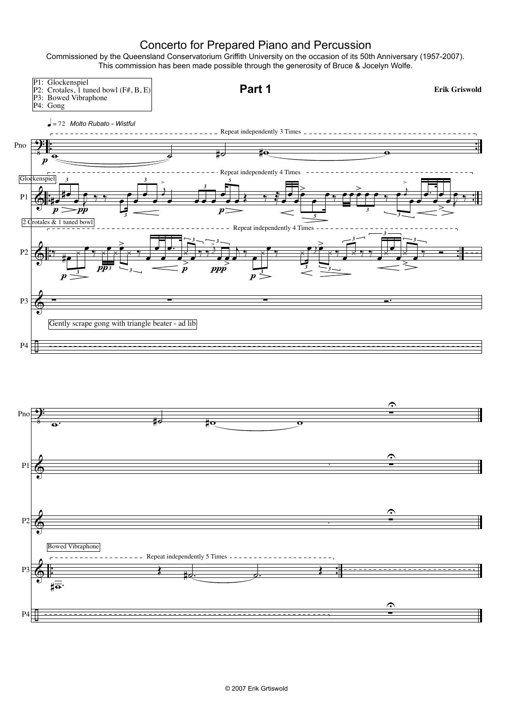## Concerto for Prepared Piano and Percussion

Commissioned by the Queensland Conservatorium Griffith University on the occasion of its 50th Anniversary (1957-2007). This commission has been made possible through the generosity of Bruce & Jocelyn Wolfe.

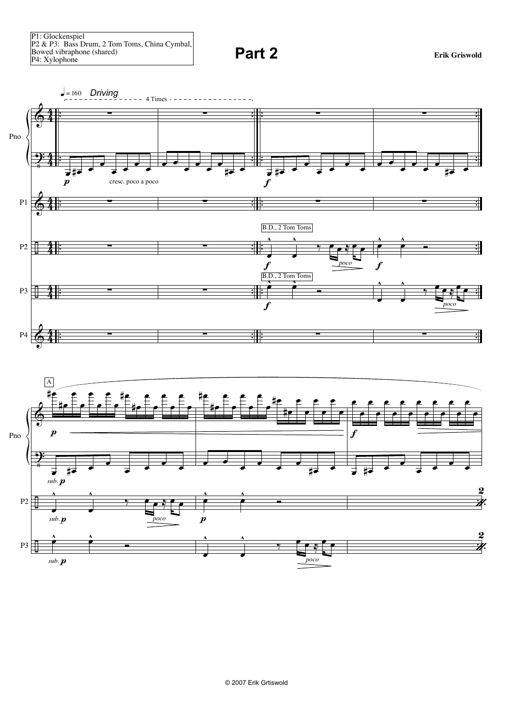**Part 2 Existendial Expanding Exist** Griswold



© 2007 Erik Grtiswold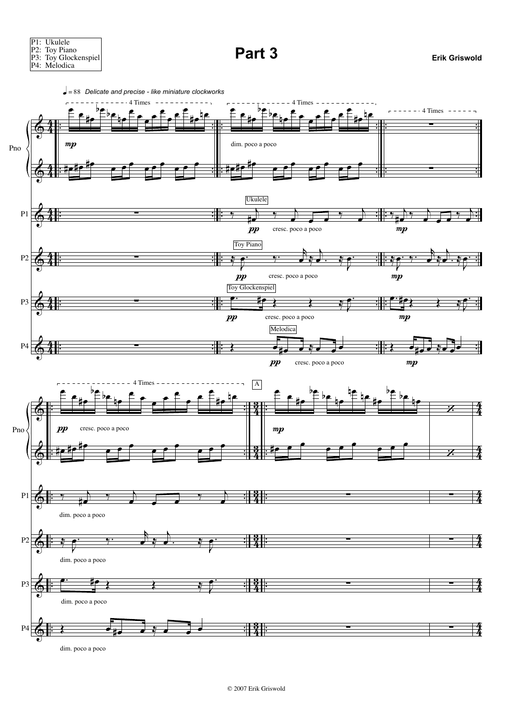

dim. poco a poco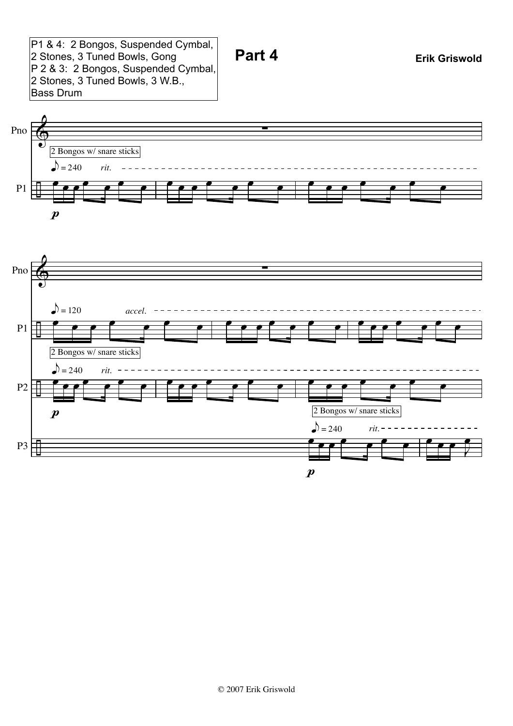P1 & 4: 2 Bongos, Suspended Cymbal, 2 Stones, 3 Tuned Bowls, Gong P 2 & 3: 2 Bongos, Suspended Cymbal, 2 Stones, 3 Tuned Bowls, 3 W.B., Bass Drum





 $\boldsymbol{p}$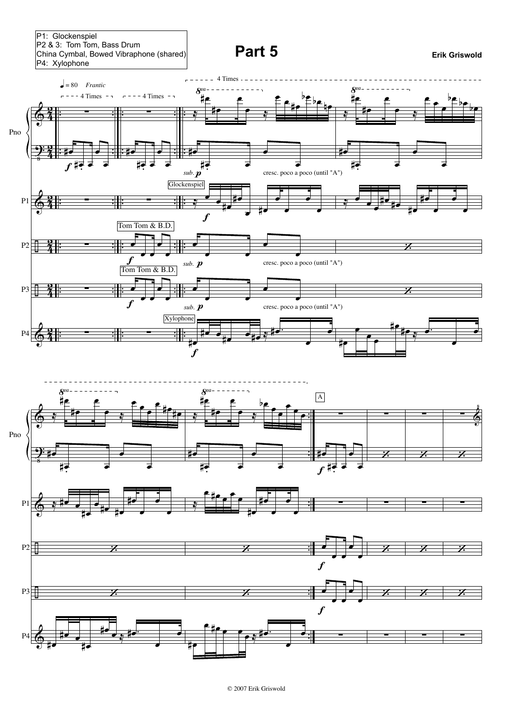P1: Glockenspiel P2 & 3: Tom Tom, Bass Drum China Cymbal, Bowed Vibraphone (shared)

**Part 5 Existing Evaluation Exist** Griswold